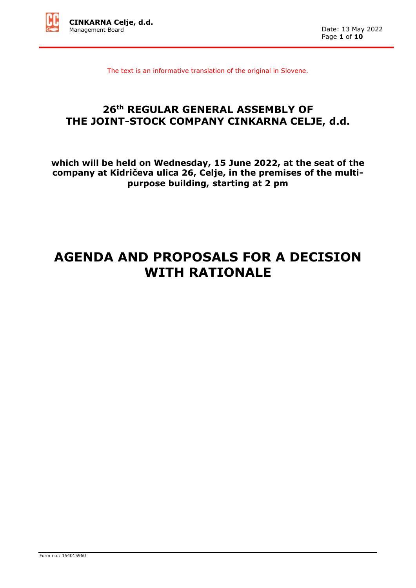

The text is an informative translation of the original in Slovene.

# **26th REGULAR GENERAL ASSEMBLY OF THE JOINT-STOCK COMPANY CINKARNA CELJE, d.d.**

**which will be held on Wednesday, 15 June 2022, at the seat of the company at Kidričeva ulica 26, Celje, in the premises of the multipurpose building, starting at 2 pm**

# **AGENDA AND PROPOSALS FOR A DECISION WITH RATIONALE**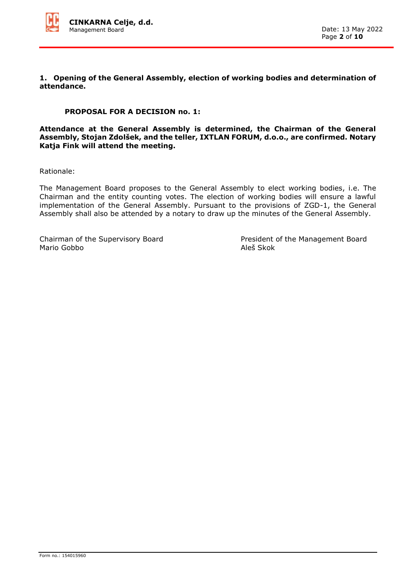

**1. Opening of the General Assembly, election of working bodies and determination of attendance.** 

### **PROPOSAL FOR A DECISION no. 1:**

**Attendance at the General Assembly is determined, the Chairman of the General Assembly, Stojan Zdolšek, and the teller, IXTLAN FORUM, d.o.o., are confirmed. Notary Katja Fink will attend the meeting.**

Rationale:

The Management Board proposes to the General Assembly to elect working bodies, i.e. The Chairman and the entity counting votes. The election of working bodies will ensure a lawful implementation of the General Assembly. Pursuant to the provisions of ZGD-1, the General Assembly shall also be attended by a notary to draw up the minutes of the General Assembly.

Mario Gobbo **Aleš** Skok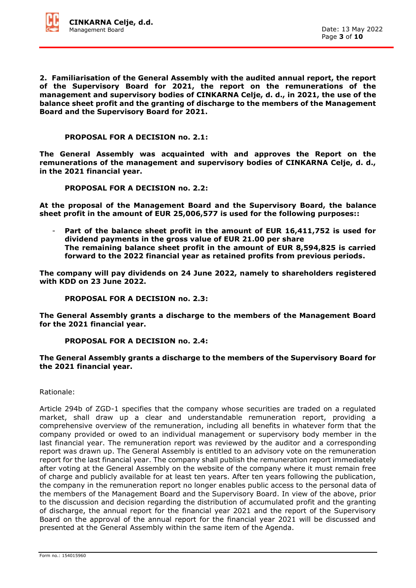

**2. Familiarisation of the General Assembly with the audited annual report, the report of the Supervisory Board for 2021, the report on the remunerations of the management and supervisory bodies of CINKARNA Celje, d. d., in 2021, the use of the balance sheet profit and the granting of discharge to the members of the Management Board and the Supervisory Board for 2021.**

**PROPOSAL FOR A DECISION no. 2.1:**

**The General Assembly was acquainted with and approves the Report on the remunerations of the management and supervisory bodies of CINKARNA Celje, d. d., in the 2021 financial year.**

**PROPOSAL FOR A DECISION no. 2.2:**

**At the proposal of the Management Board and the Supervisory Board, the balance sheet profit in the amount of EUR 25,006,577 is used for the following purposes::**

Part of the balance sheet profit in the amount of EUR 16,411,752 is used for **dividend payments in the gross value of EUR 21.00 per share The remaining balance sheet profit in the amount of EUR 8,594,825 is carried forward to the 2022 financial year as retained profits from previous periods.**

**The company will pay dividends on 24 June 2022, namely to shareholders registered with KDD on 23 June 2022.** 

**PROPOSAL FOR A DECISION no. 2.3:** 

**The General Assembly grants a discharge to the members of the Management Board for the 2021 financial year.** 

**PROPOSAL FOR A DECISION no. 2.4:** 

**The General Assembly grants a discharge to the members of the Supervisory Board for the 2021 financial year.**

Rationale:

Article 294b of ZGD-1 specifies that the company whose securities are traded on a regulated market, shall draw up a clear and understandable remuneration report, providing a comprehensive overview of the remuneration, including all benefits in whatever form that the company provided or owed to an individual management or supervisory body member in the last financial year. The remuneration report was reviewed by the auditor and a corresponding report was drawn up. The General Assembly is entitled to an advisory vote on the remuneration report for the last financial year. The company shall publish the remuneration report immediately after voting at the General Assembly on the website of the company where it must remain free of charge and publicly available for at least ten years. After ten years following the publication, the company in the remuneration report no longer enables public access to the personal data of the members of the Management Board and the Supervisory Board. In view of the above, prior to the discussion and decision regarding the distribution of accumulated profit and the granting of discharge, the annual report for the financial year 2021 and the report of the Supervisory Board on the approval of the annual report for the financial year 2021 will be discussed and presented at the General Assembly within the same item of the Agenda.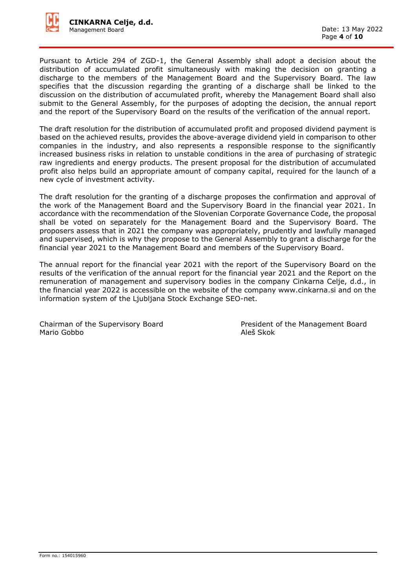

Pursuant to Article 294 of ZGD-1, the General Assembly shall adopt a decision about the distribution of accumulated profit simultaneously with making the decision on granting a discharge to the members of the Management Board and the Supervisory Board. The law specifies that the discussion regarding the granting of a discharge shall be linked to the discussion on the distribution of accumulated profit, whereby the Management Board shall also submit to the General Assembly, for the purposes of adopting the decision, the annual report and the report of the Supervisory Board on the results of the verification of the annual report.

The draft resolution for the distribution of accumulated profit and proposed dividend payment is based on the achieved results, provides the above-average dividend yield in comparison to other companies in the industry, and also represents a responsible response to the significantly increased business risks in relation to unstable conditions in the area of purchasing of strategic raw ingredients and energy products. The present proposal for the distribution of accumulated profit also helps build an appropriate amount of company capital, required for the launch of a new cycle of investment activity.

The draft resolution for the granting of a discharge proposes the confirmation and approval of the work of the Management Board and the Supervisory Board in the financial year 2021. In accordance with the recommendation of the Slovenian Corporate Governance Code, the proposal shall be voted on separately for the Management Board and the Supervisory Board. The proposers assess that in 2021 the company was appropriately, prudently and lawfully managed and supervised, which is why they propose to the General Assembly to grant a discharge for the financial year 2021 to the Management Board and members of the Supervisory Board.

The annual report for the financial year 2021 with the report of the Supervisory Board on the results of the verification of the annual report for the financial year 2021 and the Report on the remuneration of management and supervisory bodies in the company Cinkarna Celje, d.d., in the financial year 2022 is accessible on the website of the company www.cinkarna.si and on the information system of the Ljubljana Stock Exchange SEO-net.

Mario Gobbo

Chairman of the Supervisory Board<br>
Mario Gobbo<br>
Aleš Skok<br>
Aleš Skok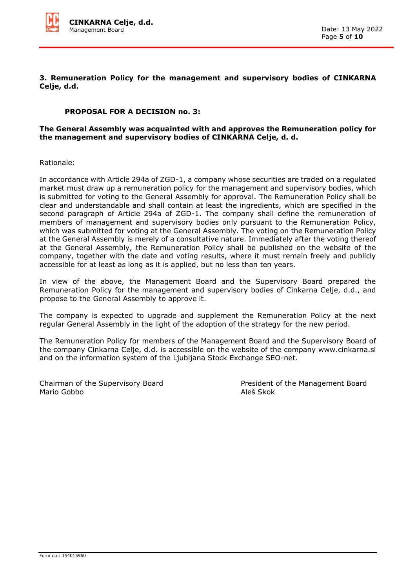

**3. Remuneration Policy for the management and supervisory bodies of CINKARNA Celje, d.d.**

## **PROPOSAL FOR A DECISION no. 3:**

#### **The General Assembly was acquainted with and approves the Remuneration policy for the management and supervisory bodies of CINKARNA Celje, d. d.**

Rationale:

In accordance with Article 294a of ZGD-1, a company whose securities are traded on a regulated market must draw up a remuneration policy for the management and supervisory bodies, which is submitted for voting to the General Assembly for approval. The Remuneration Policy shall be clear and understandable and shall contain at least the ingredients, which are specified in the second paragraph of Article 294a of ZGD-1. The company shall define the remuneration of members of management and supervisory bodies only pursuant to the Remuneration Policy, which was submitted for voting at the General Assembly. The voting on the Remuneration Policy at the General Assembly is merely of a consultative nature. Immediately after the voting thereof at the General Assembly, the Remuneration Policy shall be published on the website of the company, together with the date and voting results, where it must remain freely and publicly accessible for at least as long as it is applied, but no less than ten years.

In view of the above, the Management Board and the Supervisory Board prepared the Remuneration Policy for the management and supervisory bodies of Cinkarna Celje, d.d., and propose to the General Assembly to approve it.

The company is expected to upgrade and supplement the Remuneration Policy at the next regular General Assembly in the light of the adoption of the strategy for the new period.

The Remuneration Policy for members of the Management Board and the Supervisory Board of the company Cinkarna Celje, d.d. is accessible on the website of the company www.cinkarna.si and on the information system of the Ljubljana Stock Exchange SEO-net.

Chairman of the Supervisory Board **President of the Management Board** Mario Gobbo Aleš Skok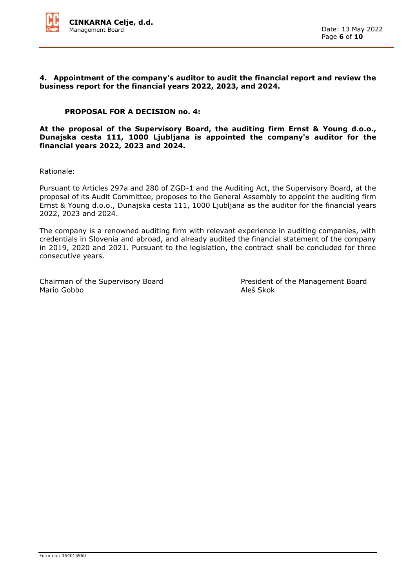

#### **4. Appointment of the company's auditor to audit the financial report and review the business report for the financial years 2022, 2023, and 2024.**

### **PROPOSAL FOR A DECISION no. 4:**

**At the proposal of the Supervisory Board, the auditing firm Ernst & Young d.o.o., Dunajska cesta 111, 1000 Ljubljana is appointed the company's auditor for the financial years 2022, 2023 and 2024.**

Rationale:

Pursuant to Articles 297a and 280 of ZGD-1 and the Auditing Act, the Supervisory Board, at the proposal of its Audit Committee, proposes to the General Assembly to appoint the auditing firm Ernst & Young d.o.o., Dunajska cesta 111, 1000 Ljubljana as the auditor for the financial years 2022, 2023 and 2024.

The company is a renowned auditing firm with relevant experience in auditing companies, with credentials in Slovenia and abroad, and already audited the financial statement of the company in 2019, 2020 and 2021. Pursuant to the legislation, the contract shall be concluded for three consecutive years.

Mario Gobbo Aleš Skok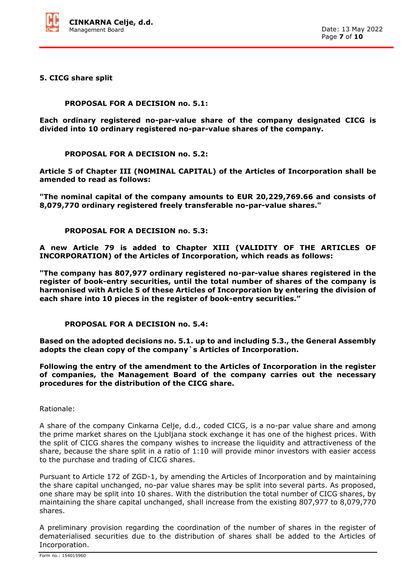

**5. CICG share split**

**PROPOSAL FOR A DECISION no. 5.1:**

**Each ordinary registered no-par-value share of the company designated CICG is divided into 10 ordinary registered no-par-value shares of the company.**

**PROPOSAL FOR A DECISION no. 5.2:**

**Article 5 of Chapter III (NOMINAL CAPITAL) of the Articles of Incorporation shall be amended to read as follows:**

**"The nominal capital of the company amounts to EUR 20,229,769.66 and consists of 8,079,770 ordinary registered freely transferable no-par-value shares."**

**PROPOSAL FOR A DECISION no. 5.3:**

**A new Article 79 is added to Chapter XIII (VALIDITY OF THE ARTICLES OF INCORPORATION) of the Articles of Incorporation, which reads as follows:**

**"The company has 807,977 ordinary registered no-par-value shares registered in the register of book-entry securities, until the total number of shares of the company is harmonised with Article 5 of these Articles of Incorporation by entering the division of each share into 10 pieces in the register of book-entry securities."**

**PROPOSAL FOR A DECISION no. 5.4:**

**Based on the adopted decisions no. 5.1. up to and including 5.3., the General Assembly adopts the clean copy of the company`s Articles of Incorporation.** 

**Following the entry of the amendment to the Articles of Incorporation in the register of companies, the Management Board of the company carries out the necessary procedures for the distribution of the CICG share.**

Rationale:

A share of the company Cinkarna Celje, d.d., coded CICG, is a no-par value share and among the prime market shares on the Ljubljana stock exchange it has one of the highest prices. With the split of CICG shares the company wishes to increase the liquidity and attractiveness of the share, because the share split in a ratio of 1:10 will provide minor investors with easier access to the purchase and trading of CICG shares.

Pursuant to Article 172 of ZGD-1, by amending the Articles of Incorporation and by maintaining the share capital unchanged, no-par value shares may be split into several parts. As proposed, one share may be split into 10 shares. With the distribution the total number of CICG shares, by maintaining the share capital unchanged, shall increase from the existing 807,977 to 8,079,770 shares.

A preliminary provision regarding the coordination of the number of shares in the register of dematerialised securities due to the distribution of shares shall be added to the Articles of Incorporation.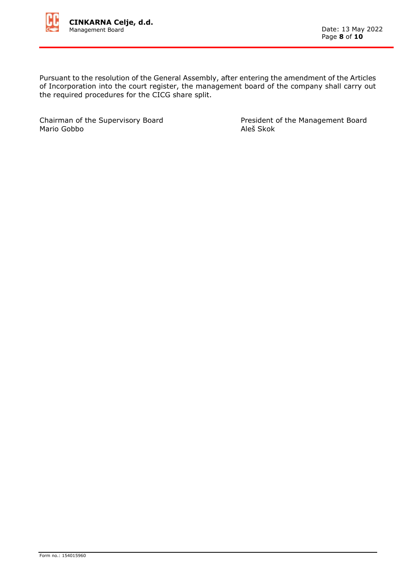

Pursuant to the resolution of the General Assembly, after entering the amendment of the Articles of Incorporation into the court register, the management board of the company shall carry out the required procedures for the CICG share split.

Mario Gobbo

Chairman of the Supervisory Board<br>
Mario Gobbo<br>
Aleš Skok<br>
Aleš Skok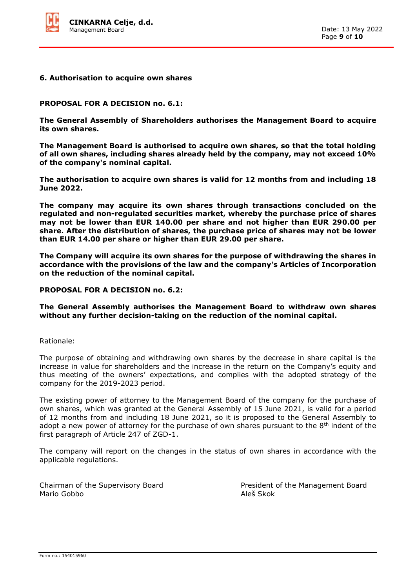

#### **6. Authorisation to acquire own shares**

#### **PROPOSAL FOR A DECISION no. 6.1:**

**The General Assembly of Shareholders authorises the Management Board to acquire its own shares.**

**The Management Board is authorised to acquire own shares, so that the total holding of all own shares, including shares already held by the company, may not exceed 10% of the company's nominal capital.**

**The authorisation to acquire own shares is valid for 12 months from and including 18 June 2022.**

**The company may acquire its own shares through transactions concluded on the regulated and non-regulated securities market, whereby the purchase price of shares may not be lower than EUR 140.00 per share and not higher than EUR 290.00 per share. After the distribution of shares, the purchase price of shares may not be lower than EUR 14.00 per share or higher than EUR 29.00 per share.**

**The Company will acquire its own shares for the purpose of withdrawing the shares in accordance with the provisions of the law and the company's Articles of Incorporation on the reduction of the nominal capital.**

#### **PROPOSAL FOR A DECISION no. 6.2:**

**The General Assembly authorises the Management Board to withdraw own shares without any further decision-taking on the reduction of the nominal capital.**

Rationale:

The purpose of obtaining and withdrawing own shares by the decrease in share capital is the increase in value for shareholders and the increase in the return on the Company's equity and thus meeting of the owners' expectations, and complies with the adopted strategy of the company for the 2019-2023 period.

The existing power of attorney to the Management Board of the company for the purchase of own shares, which was granted at the General Assembly of 15 June 2021, is valid for a period of 12 months from and including 18 June 2021, so it is proposed to the General Assembly to adopt a new power of attorney for the purchase of own shares pursuant to the  $8<sup>th</sup>$  indent of the first paragraph of Article 247 of ZGD-1.

The company will report on the changes in the status of own shares in accordance with the applicable regulations.

Mario Gobbo Aleš Skok